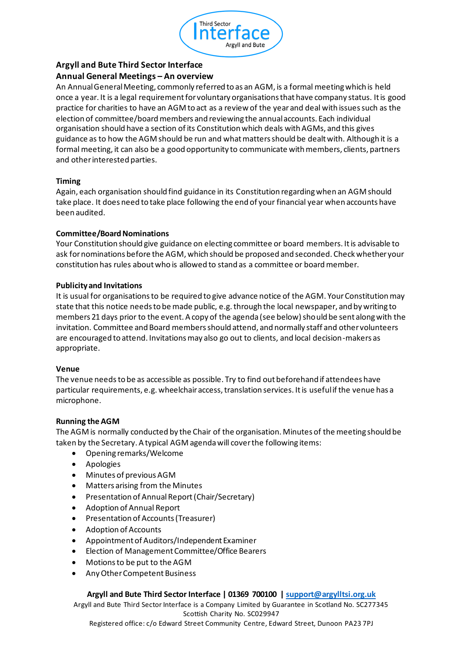

# **Argyll and Bute Third Sector Interface**

## **Annual General Meetings – An overview**

An Annual General Meeting, commonly referred to as an AGM, is a formal meeting which is held once a year. It is a legal requirement for voluntary organisations that have company status. It is good practice for charities to have an AGM to act as a review of the year and deal with issues such as the election of committee/board members and reviewing the annual accounts. Each individual organisation should have a section of its Constitution which deals with AGMs, and this gives guidance as to how the AGM should be run and what matters should be dealt with. Although it is a formal meeting, it can also be a good opportunity to communicate with members, clients, partners and other interested parties.

#### **Timing**

Again, each organisation should find guidance in its Constitution regarding when an AGM should take place. It does need to take place following the end of your financial year when accounts have been audited.

#### **Committee/Board Nominations**

Your Constitution should give guidance on electing committee or board members. It is advisable to ask for nominations before the AGM, which should be proposed and seconded. Check whether your constitution has rules about who is allowed to stand as a committee or board member.

#### **Publicity and Invitations**

It is usual for organisations to be required to give advance notice of the AGM. Your Constitution may state that this notice needs to be made public, e.g. through the local newspaper, and by writing to members 21 days prior to the event. A copy of the agenda (see below) should be sent along with the invitation. Committee and Board members should attend, and normally staff and other volunteers are encouraged to attend. Invitations may also go out to clients, and local decision-makers as appropriate.

### **Venue**

The venue needs to be as accessible as possible. Try to find out beforehand if attendees have particular requirements, e.g. wheelchair access, translation services. It is useful if the venue has a microphone.

### **Running the AGM**

The AGM is normally conducted by the Chair of the organisation. Minutes of the meeting should be taken by the Secretary. A typical AGM agenda will cover the following items:

- Opening remarks/Welcome
- Apologies
- Minutes of previous AGM
- Matters arising from the Minutes
- Presentation of Annual Report (Chair/Secretary)
- Adoption of Annual Report
- Presentation of Accounts (Treasurer)
- Adoption of Accounts
- Appointment of Auditors/Independent Examiner
- Election of Management Committee/Office Bearers
- Motions to be put to the AGM
- Any Other Competent Business

### **Argyll and Bute Third Sector Interface | 01369 700100 | support@argylltsi.org.uk**

Argyll and Bute Third Sector Interface is a Company Limited by Guarantee in Scotland No. SC277345 Scottish Charity No. SC029947

Registered office: c/o Edward Street Community Centre, Edward Street, Dunoon PA23 7PJ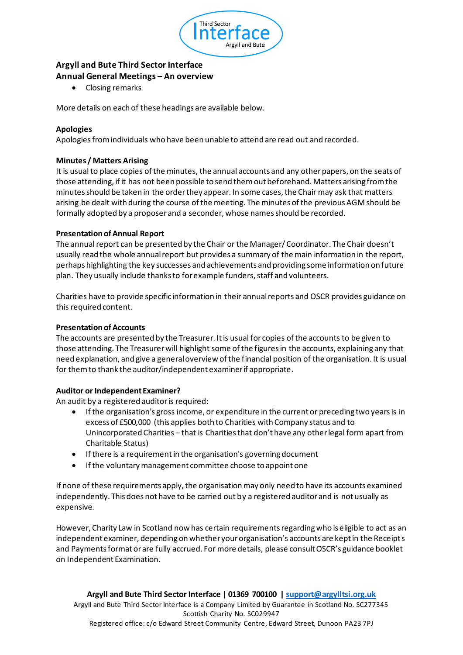

# **Argyll and Bute Third Sector Interface Annual General Meetings – An overview**

• Closing remarks

More details on each of these headings are available below.

### **Apologies**

Apologies from individuals who have been unable to attend are read out and recorded.

### **Minutes / Matters Arising**

It is usual to place copies of the minutes, the annual accounts and any other papers, on the seats of those attending, if it has not been possible to send them out beforehand. Matters arising from the minutes should be taken in the order they appear. In some cases, the Chair may ask that matters arising be dealt with during the course of the meeting. The minutes of the previous AGM should be formally adopted by a proposer and a seconder, whose names should be recorded.

#### **Presentation of Annual Report**

The annual report can be presented by the Chair or the Manager/ Coordinator. The Chair doesn't usually read the whole annual report but provides a summary of the main information in the report, perhaps highlighting the key successes and achievements and providing some information on future plan. They usually include thanks to for example funders, staff and volunteers.

Charities have to provide specific information in their annual reports and OSCR provides guidance on this required content.

#### **Presentation of Accounts**

The accounts are presented by the Treasurer. It is usual for copies of the accounts to be given to those attending. The Treasurer will highlight some of the figures in the accounts, explaining any that need explanation, and give a general overview of the financial position of the organisation. It is usual for them to thank the auditor/independent examiner if appropriate.

#### **Auditor or Independent Examiner?**

An audit by a registered auditor is required:

- If the organisation's gross income, or expenditure in the current or preceding two years is in excess of £500,000 (this applies both to Charities with Company status and to Unincorporated Charities – that is Charities that don't have any other legal form apart from Charitable Status)
- If there is a requirement in the organisation's governing document
- If the voluntary management committee choose to appoint one

If none of these requirements apply, the organisation may only need to have its accounts examined independently. This does not have to be carried out by a registered auditor and is not usually as expensive.

However, Charity Law in Scotland now has certain requirements regarding who is eligible to act as an independent examiner, depending on whether your organisation's accounts are kept in the Receipts and Payments format or are fully accrued. For more details, please consult OSCR's guidance booklet on Independent Examination.

**Argyll and Bute Third Sector Interface | 01369 700100 | support@argylltsi.org.uk** Argyll and Bute Third Sector Interface is a Company Limited by Guarantee in Scotland No. SC277345 Scottish Charity No. SC029947 Registered office: c/o Edward Street Community Centre, Edward Street, Dunoon PA23 7PJ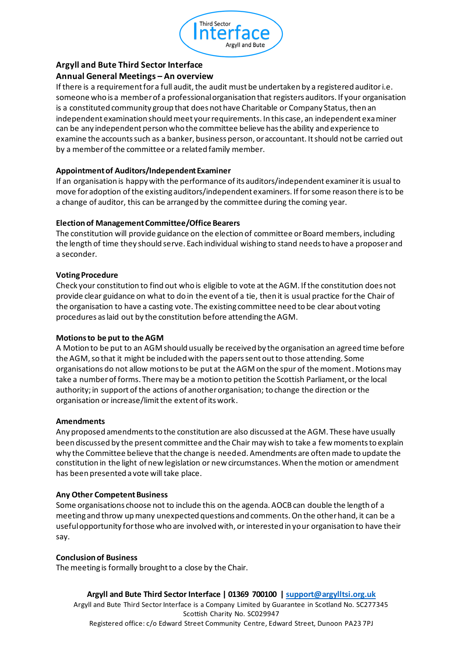

### **Argyll and Bute Third Sector Interface Annual General Meetings – An overview**

If there is a requirement for a full audit, the audit must be undertaken by a registered auditor i.e. someone who is a member of a professional organisation that registers auditors. If your organisation is a constituted community group that does not have Charitable or Company Status, then an independent examination should meet your requirements. In this case, an independent examiner can be any independent person who the committee believe has the ability and experience to examine the accounts such as a banker, business person, or accountant. It should not be carried out by a member of the committee or a related family member.

### **Appointment of Auditors/Independent Examiner**

If an organisation is happy with the performance of its auditors/independent examiner it is usual to move for adoption of the existing auditors/independent examiners. If for some reason there is to be a change of auditor, this can be arranged by the committee during the coming year.

### **Election of Management Committee/Office Bearers**

The constitution will provide guidance on the election of committee or Board members, including the length of time they should serve. Each individual wishing to stand needs to have a proposer and a seconder.

### **Voting Procedure**

Check your constitution to find out who is eligible to vote at the AGM. If the constitution does not provide clear guidance on what to do in the event of a tie, then it is usual practice for the Chair of the organisation to have a casting vote. The existing committee need to be clear about voting procedures as laid out by the constitution before attending the AGM.

### **Motions to be put to the AGM**

A Motion to be put to an AGM should usually be received by the organisation an agreed time before the AGM, so that it might be included with the papers sent out to those attending. Some organisations do not allow motions to be put at the AGM on the spur of the moment. Motions may take a number of forms. There may be a motion to petition the Scottish Parliament, or the local authority; in support of the actions of another organisation; to change the direction or the organisation or increase/limit the extent of its work.

### **Amendments**

Any proposed amendments to the constitution are also discussed at the AGM. These have usually been discussed by the present committee and the Chair may wish to take a few moments to explain why the Committee believe that the change is needed. Amendments are often made to update the constitution in the light of new legislation or new circumstances. When the motion or amendment has been presented a vote will take place.

### **Any Other Competent Business**

Some organisations choose not to include this on the agenda. AOCB can double the length of a meeting and throw up many unexpected questions and comments. On the other hand, it can be a useful opportunity for those who are involved with, or interested in your organisation to have their say.

### **Conclusion of Business**

The meeting is formally brought to a close by the Chair.

### **Argyll and Bute Third Sector Interface | 01369 700100 | support@argylltsi.org.uk**

Argyll and Bute Third Sector Interface is a Company Limited by Guarantee in Scotland No. SC277345 Scottish Charity No. SC029947 Registered office: c/o Edward Street Community Centre, Edward Street, Dunoon PA23 7PJ